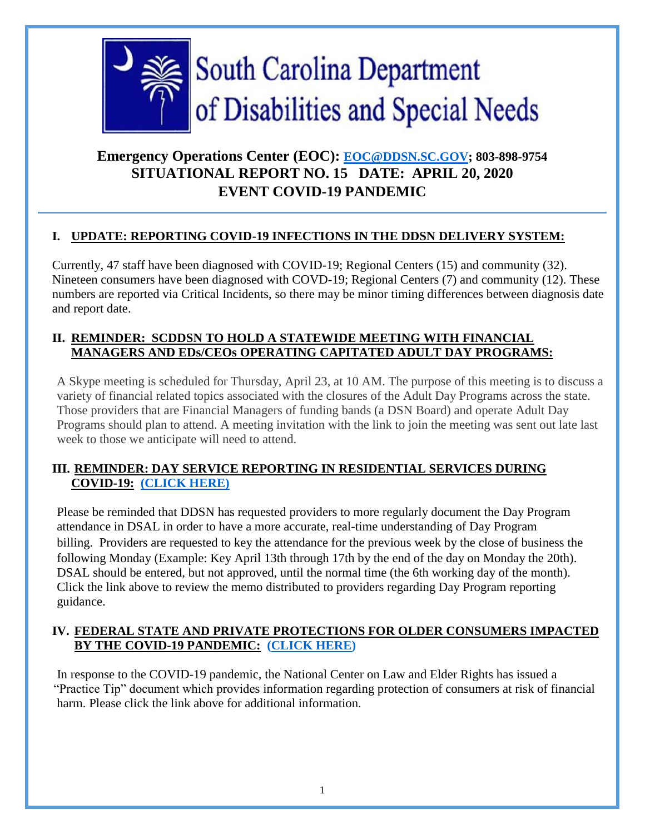

# **Emergency Operations Center (EOC): [EOC@DDSN.SC.GOV;](mailto:eoc@ddsn.sc.goV) 803-898-9754 SITUATIONAL REPORT NO. 15 DATE: APRIL 20, 2020 EVENT COVID-19 PANDEMIC**

# **I. UPDATE: REPORTING COVID-19 INFECTIONS IN THE DDSN DELIVERY SYSTEM:**

Currently, 47 staff have been diagnosed with COVID-19; Regional Centers (15) and community (32). Nineteen consumers have been diagnosed with COVD-19; Regional Centers (7) and community (12). These numbers are reported via Critical Incidents, so there may be minor timing differences between diagnosis date and report date.

### **II. REMINDER: SCDDSN TO HOLD A STATEWIDE MEETING WITH FINANCIAL MANAGERS AND EDs/CEOs OPERATING CAPITATED ADULT DAY PROGRAMS:**

A Skype meeting is scheduled for Thursday, April 23, at 10 AM. The purpose of this meeting is to discuss a variety of financial related topics associated with the closures of the Adult Day Programs across the state. Those providers that are Financial Managers of funding bands (a DSN Board) and operate Adult Day Programs should plan to attend. A meeting invitation with the link to join the meeting was sent out late last week to those we anticipate will need to attend.

# **III. REMINDER: DAY SERVICE REPORTING IN RESIDENTIAL SERVICES DURING COVID-19: [\(CLICK HERE\)](https://ddsn.sc.gov/sites/default/files/Documents/files/Memo%20Day%20Service%20Delivery%20Reporting%2004142020.pdf)**

 Please be reminded that DDSN has requested providers to more regularly document the Day Program attendance in DSAL in order to have a more accurate, real-time understanding of Day Program billing. Providers are requested to key the attendance for the previous week by the close of business the following Monday (Example: Key April 13th through 17th by the end of the day on Monday the 20th). DSAL should be entered, but not approved, until the normal time (the 6th working day of the month). Click the link above to review the memo distributed to providers regarding Day Program reporting guidance.

# **IV. FEDERAL STATE AND PRIVATE PROTECTIONS FOR OLDER CONSUMERS IMPACTED BY THE COVID-19 PANDEMIC: [\(CLICK HERE\)](https://ncler.acl.gov/getattachment/Resources/Consumers-Impacted-by-COVID-19.pdf.aspx?lang=en-US&eType=EmailBlastContent&eId=291d3654-a770-4d4a-b9a3-171e975e0f88)**

 In response to the COVID-19 pandemic, the National Center on Law and Elder Rights has issued a "Practice Tip" document which provides information regarding protection of consumers at risk of financial harm. Please click the link above for additional information.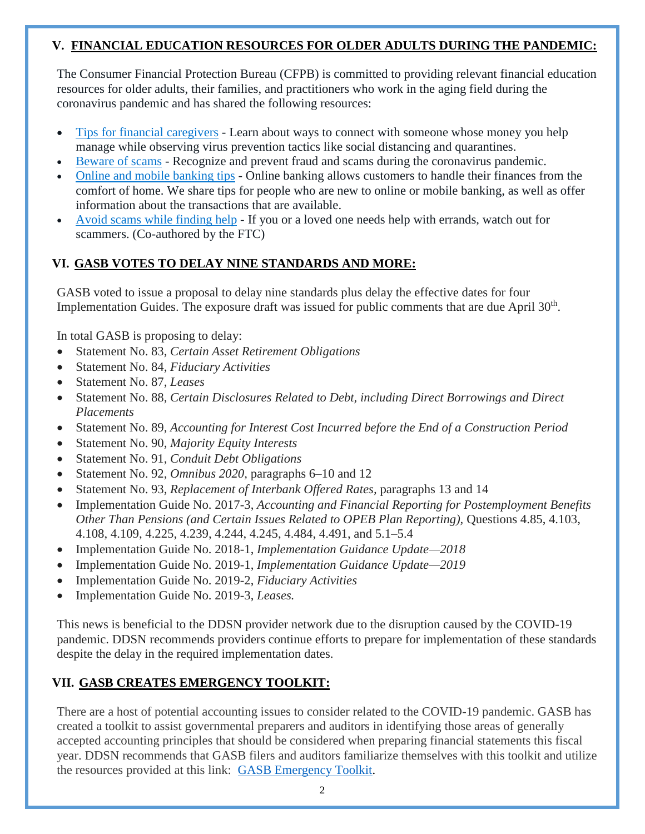#### **V. FINANCIAL EDUCATION RESOURCES FOR OLDER ADULTS DURING THE PANDEMIC:**

The Consumer Financial Protection Bureau (CFPB) is committed to providing relevant financial education resources for older adults, their families, and practitioners who work in the aging field during the coronavirus pandemic and has shared the following resources:

- Tips for financial [caregivers](https://protect2.fireeye.com/v1/url?k=8cc883d5-d043a4bd-8cc85624-0cc47ad2bb24-f09cebee29d185c6&q=1&e=24992eb7-b5bb-45b8-8e6f-ac1be15eac96&u=https%3A%2F%2Furldefense.com%2Fv3%2F__https%3A%2Flnks.gd%2Fl%2FeyJhbGciOiJIUzI1NiJ9.eyJidWxsZXRpbl9saW5rX2lkIjoxMDAsInVyaSI6ImJwMjpjbGljayIsImJ1bGxldGluX2lkIjoiMjAyMDA0MTQuMjAxMTgzMTEiLCJ1cmwiOiJodHRwczovL3d3dy5jb25zdW1lcmZpbmFuY2UuZ292L2Fib3V0LXVzL2Jsb2cvdGlwcy1mb3ItZmluYW5jaWFsLWNhcmVnaXZlcnMtZHVyaW5nLWNvcm9uYXZpcnVzLXBhbmRlbWljLz91dG1fc291cmNlPW5ld3NsZXR0ZXImdXRtX2NhbXBhaWduPTIwMDQxNG9hIn0.1pU8aw6fj0tW39ze5KngH03MYVdWEppM_53phQ-0WwY%2Fbr%2F77367000801-l__%3B%21%21KMKkofZL%21zdWzDJyB5HlBhjJnuSRKvqZIl6ahbk2L918TTz4DXLi7ki0_FDZyz8gz2jzheQ6sSQ%24) Learn about ways to connect with someone whose money you help manage while observing virus prevention tactics like social distancing and quarantines.
- [Beware](https://protect2.fireeye.com/v1/url?k=95814b2a-c90a6c42-95819edb-0cc47ad2bb24-078d8fef9655e2cb&q=1&e=24992eb7-b5bb-45b8-8e6f-ac1be15eac96&u=https%3A%2F%2Furldefense.com%2Fv3%2F__https%3A%2Flnks.gd%2Fl%2FeyJhbGciOiJIUzI1NiJ9.eyJidWxsZXRpbl9saW5rX2lkIjoxMDEsInVyaSI6ImJwMjpjbGljayIsImJ1bGxldGluX2lkIjoiMjAyMDA0MTQuMjAxMTgzMTEiLCJ1cmwiOiJodHRwczovL3d3dy5jb25zdW1lcmZpbmFuY2UuZ292L2Fib3V0LXVzL2Jsb2cvYmV3YXJlLWNvcm9uYXZpcnVzLXJlbGF0ZWQtc2NhbXMvP3V0bV9zb3VyY2U9bmV3c2xldHRlciZ1dG1fY2FtcGFpZ249MjAwNDE0b2EifQ.Aib9eZZ2cgXGXWoOx3snYF7Nf9b3OMu_4H2zlV8gFGs%2Fbr%2F77367000801-l__%3B%21%21KMKkofZL%21zdWzDJyB5HlBhjJnuSRKvqZIl6ahbk2L918TTz4DXLi7ki0_FDZyz8gz2jyFwuhOKg%24) of scams Recognize and prevent fraud and scams during the coronavirus pandemic.
- Online and mobile [banking](https://protect2.fireeye.com/v1/url?k=f6718ec7-aafaa9af-f6715b36-0cc47ad2bb24-72a4cb670e4ae9a8&q=1&e=24992eb7-b5bb-45b8-8e6f-ac1be15eac96&u=https%3A%2F%2Furldefense.com%2Fv3%2F__https%3A%2Flnks.gd%2Fl%2FeyJhbGciOiJIUzI1NiJ9.eyJidWxsZXRpbl9saW5rX2lkIjoxMDIsInVyaSI6ImJwMjpjbGljayIsImJ1bGxldGluX2lkIjoiMjAyMDA0MTQuMjAxMTgzMTEiLCJ1cmwiOiJodHRwczovL3d3dy5jb25zdW1lcmZpbmFuY2UuZ292L2Fib3V0LXVzL2Jsb2cvb25saW5lLW1vYmlsZS1iYW5raW5nLXRpcHMtYmVnaW5uZXJzLz91dG1fc291cmNlPW5ld3NsZXR0ZXImdXRtX2NhbXBhaWduPTIwMDQxNG9hIn0.WiSIzHuSqWSwbRGAbM17Ia4VyN44-RoHGqo2HEvO34o%2Fbr%2F77367000801-l__%3B%21%21KMKkofZL%21zdWzDJyB5HlBhjJnuSRKvqZIl6ahbk2L918TTz4DXLi7ki0_FDZyz8gz2jzxLDFjCg%24) tips Online banking allows customers to handle their finances from the comfort of home. We share tips for people who are new to online or mobile banking, as well as offer information about the transactions that are available.
- Avoid scams while [finding](https://protect2.fireeye.com/v1/url?k=3400d9a2-688bfeca-34000c53-0cc47ad2bb24-9c8131ba71617145&q=1&e=24992eb7-b5bb-45b8-8e6f-ac1be15eac96&u=https%3A%2F%2Furldefense.com%2Fv3%2F__https%3A%2Flnks.gd%2Fl%2FeyJhbGciOiJIUzI1NiJ9.eyJidWxsZXRpbl9saW5rX2lkIjoxMDMsInVyaSI6ImJwMjpjbGljayIsImJ1bGxldGluX2lkIjoiMjAyMDA0MTQuMjAxMTgzMTEiLCJ1cmwiOiJodHRwczovL3d3dy5jb25zdW1lcmZpbmFuY2UuZ292L2Fib3V0LXVzL2Jsb2cvYXZvaWQtc2NhbXMtZmluZC1oZWxwLWR1cmluZy1xdWFyYW50aW5lLz91dG1fc291cmNlPW5ld3NsZXR0ZXImdXRtX2NhbXBhaWduPTIwMDQxNG9hIn0.8FDgOvEbhKc_3auYcecbXDOAVsWCzB1HaQp_ChUgyGE%2Fbr%2F77367000801-l__%3B%21%21KMKkofZL%21zdWzDJyB5HlBhjJnuSRKvqZIl6ahbk2L918TTz4DXLi7ki0_FDZyz8gz2jzQOe1_Xg%24) help If you or a loved one needs help with errands, watch out for scammers. (Co-authored by the FTC)

# **VI. GASB VOTES TO DELAY NINE STANDARDS AND MORE:**

GASB voted to issue a proposal to delay nine standards plus delay the effective dates for four Implementation Guides. The exposure draft was issued for public comments that are due April 30<sup>th</sup>.

In total GASB is proposing to delay:

- Statement No. 83, *Certain Asset Retirement Obligations*
- Statement No. 84, *Fiduciary Activities*
- Statement No. 87, *Leases*
- Statement No. 88, *Certain Disclosures Related to Debt, including Direct Borrowings and Direct Placements*
- Statement No. 89, *Accounting for Interest Cost Incurred before the End of a Construction Period*
- Statement No. 90, *Majority Equity Interests*
- Statement No. 91, *Conduit Debt Obligations*
- Statement No. 92, *Omnibus 2020,* paragraphs 6–10 and 12
- Statement No. 93, *Replacement of Interbank Offered Rates,* paragraphs 13 and 14
- Implementation Guide No. 2017-3, *Accounting and Financial Reporting for Postemployment Benefits Other Than Pensions (and Certain Issues Related to OPEB Plan Reporting),* Questions 4.85, 4.103, 4.108, 4.109, 4.225, 4.239, 4.244, 4.245, 4.484, 4.491, and 5.1–5.4
- Implementation Guide No. 2018-1, *Implementation Guidance Update—2018*
- Implementation Guide No. 2019-1, *Implementation Guidance Update—2019*
- Implementation Guide No. 2019-2, *Fiduciary Activities*
- Implementation Guide No. 2019-3, *Leases.*

This news is beneficial to the DDSN provider network due to the disruption caused by the COVID-19 pandemic. DDSN recommends providers continue efforts to prepare for implementation of these standards despite the delay in the required implementation dates.

# **VII. GASB CREATES EMERGENCY TOOLKIT:**

There are a host of potential accounting issues to consider related to the COVID-19 pandemic. GASB has created a toolkit to assist governmental preparers and auditors in identifying those areas of generally accepted accounting principles that should be considered when preparing financial statements this fiscal year. DDSN recommends that GASB filers and auditors familiarize themselves with this toolkit and utilize the resources provided at this link: [GASB Emergency Toolkit.](https://gasb.org/cs/Satellite?c=Page&cid=1176174469582&pagename=GASB%2FPage%2FGASB%2FSectionPage)